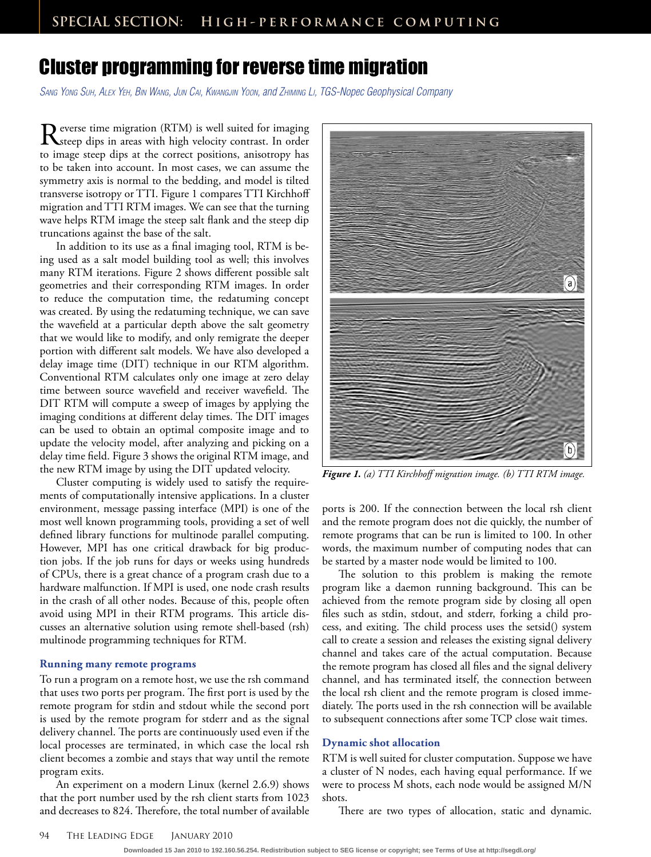# **Cluster programming for reverse time migration**

SANG YONG SUH, ALEX YEH, BIN WANG, JUN CAI, KWANGJIN YOON, and ZHIMING LI, TGS-Nopec Geophysical Company

Reverse time migration (RTM) is well suited for imaging Steep dips in areas with high velocity contrast. In order to image steep dips at the correct positions, anisotropy has to be taken into account. In most cases, we can assume the symmetry axis is normal to the bedding, and model is tilted transverse isotropy or TTI. Figure 1 compares TTI Kirchhoff migration and TTI RTM images. We can see that the turning wave helps RTM image the steep salt flank and the steep dip truncations against the base of the salt.

In addition to its use as a final imaging tool, RTM is being used as a salt model building tool as well; this involves many RTM iterations. Figure 2 shows different possible salt geometries and their corresponding RTM images. In order to reduce the computation time, the redatuming concept was created. By using the redatuming technique, we can save the wavefield at a particular depth above the salt geometry that we would like to modify, and only remigrate the deeper portion with different salt models. We have also developed a delay image time (DIT) technique in our RTM algorithm. Conventional RTM calculates only one image at zero delay time between source wavefield and receiver wavefield. The DIT RTM will compute a sweep of images by applying the imaging conditions at different delay times. The DIT images can be used to obtain an optimal composite image and to update the velocity model, after analyzing and picking on a delay time field. Figure 3 shows the original RTM image, and the new RTM image by using the DIT updated velocity.

Cluster computing is widely used to satisfy the requirements of computationally intensive applications. In a cluster environment, message passing interface (MPI) is one of the most well known programming tools, providing a set of well defined library functions for multinode parallel computing. However, MPI has one critical drawback for big production jobs. If the job runs for days or weeks using hundreds of CPUs, there is a great chance of a program crash due to a hardware malfunction. If MPI is used, one node crash results in the crash of all other nodes. Because of this, people often avoid using MPI in their RTM programs. This article discusses an alternative solution using remote shell-based (rsh) multinode programming techniques for RTM.

### **Running many remote programs**

To run a program on a remote host, we use the rsh command that uses two ports per program. The first port is used by the remote program for stdin and stdout while the second port is used by the remote program for stderr and as the signal delivery channel. The ports are continuously used even if the local processes are terminated, in which case the local rsh client becomes a zombie and stays that way until the remote program exits.

An experiment on a modern Linux (kernel 2.6.9) shows that the port number used by the rsh client starts from 1023 and decreases to 824. Therefore, the total number of available



*Figure 1. (a) TTI Kirchhoff migration image. (b) TTI RTM image.*

ports is 200. If the connection between the local rsh client and the remote program does not die quickly, the number of remote programs that can be run is limited to 100. In other words, the maximum number of computing nodes that can be started by a master node would be limited to 100.

The solution to this problem is making the remote program like a daemon running background. This can be achieved from the remote program side by closing all open files such as stdin, stdout, and stderr, forking a child process, and exiting. The child process uses the setsid() system call to create a session and releases the existing signal delivery channel and takes care of the actual computation. Because the remote program has closed all files and the signal delivery channel, and has terminated itself, the connection between the local rsh client and the remote program is closed immediately. The ports used in the rsh connection will be available to subsequent connections after some TCP close wait times.

# **Dynamic shot allocation**

RTM is well suited for cluster computation. Suppose we have a cluster of N nodes, each having equal performance. If we were to process M shots, each node would be assigned M/N shots.

There are two types of allocation, static and dynamic.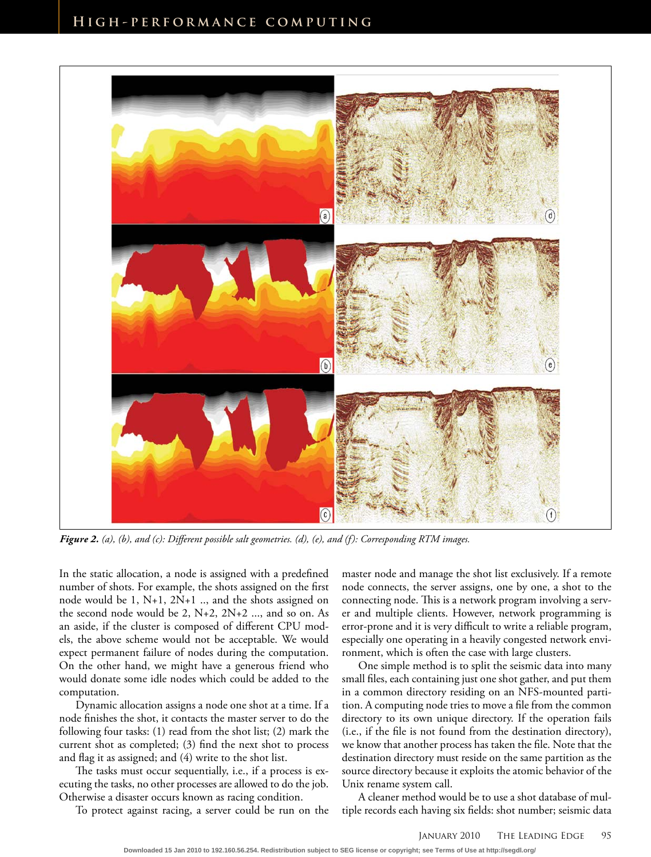

*Figure 2. (a), (b), and (c): Different possible salt geometries. (d), (e), and (f): Corresponding RTM images.*

In the static allocation, a node is assigned with a predefined number of shots. For example, the shots assigned on the first node would be 1, N+1, 2N+1 .., and the shots assigned on the second node would be  $2$ ,  $N+2$ ,  $2N+2$  ..., and so on. As an aside, if the cluster is composed of different CPU models, the above scheme would not be acceptable. We would expect permanent failure of nodes during the computation. On the other hand, we might have a generous friend who would donate some idle nodes which could be added to the computation.

Dynamic allocation assigns a node one shot at a time. If a node finishes the shot, it contacts the master server to do the following four tasks: (1) read from the shot list; (2) mark the current shot as completed; (3) find the next shot to process and flag it as assigned; and (4) write to the shot list.

The tasks must occur sequentially, i.e., if a process is executing the tasks, no other processes are allowed to do the job. Otherwise a disaster occurs known as racing condition.

To protect against racing, a server could be run on the

master node and manage the shot list exclusively. If a remote node connects, the server assigns, one by one, a shot to the connecting node. This is a network program involving a server and multiple clients. However, network programming is error-prone and it is very difficult to write a reliable program, especially one operating in a heavily congested network environment, which is often the case with large clusters.

One simple method is to split the seismic data into many small files, each containing just one shot gather, and put them in a common directory residing on an NFS-mounted partition. A computing node tries to move a file from the common directory to its own unique directory. If the operation fails (i.e., if the file is not found from the destination directory), we know that another process has taken the file. Note that the destination directory must reside on the same partition as the source directory because it exploits the atomic behavior of the Unix rename system call.

A cleaner method would be to use a shot database of multiple records each having six fields: shot number; seismic data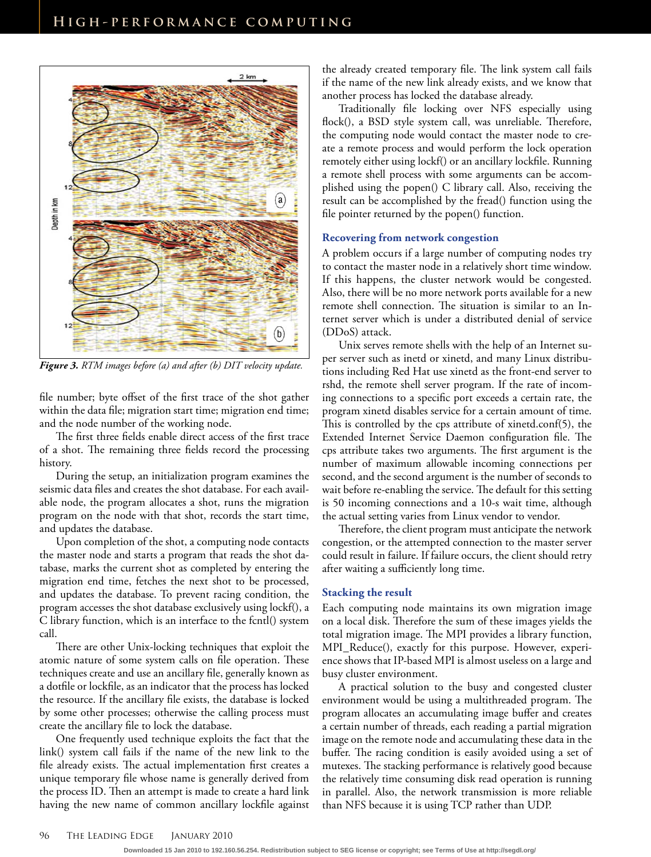

*Figure 3. RTM images before (a) and after (b) DIT velocity update.*

file number; byte offset of the first trace of the shot gather within the data file; migration start time; migration end time; and the node number of the working node.

The first three fields enable direct access of the first trace of a shot. The remaining three fields record the processing history.

During the setup, an initialization program examines the seismic data files and creates the shot database. For each available node, the program allocates a shot, runs the migration program on the node with that shot, records the start time, and updates the database.

Upon completion of the shot, a computing node contacts the master node and starts a program that reads the shot database, marks the current shot as completed by entering the migration end time, fetches the next shot to be processed, and updates the database. To prevent racing condition, the program accesses the shot database exclusively using lockf(), a C library function, which is an interface to the fcntl() system call.

There are other Unix-locking techniques that exploit the atomic nature of some system calls on file operation. These techniques create and use an ancillary file, generally known as a dotfile or lockfile, as an indicator that the process has locked the resource. If the ancillary file exists, the database is locked by some other processes; otherwise the calling process must create the ancillary file to lock the database.

One frequently used technique exploits the fact that the link() system call fails if the name of the new link to the file already exists. The actual implementation first creates a unique temporary file whose name is generally derived from the process ID. Then an attempt is made to create a hard link having the new name of common ancillary lockfile against

the already created temporary file. The link system call fails if the name of the new link already exists, and we know that another process has locked the database already.

Traditionally file locking over NFS especially using flock(), a BSD style system call, was unreliable. Therefore, the computing node would contact the master node to create a remote process and would perform the lock operation remotely either using lockf() or an ancillary lockfile. Running a remote shell process with some arguments can be accomplished using the popen() C library call. Also, receiving the result can be accomplished by the fread() function using the file pointer returned by the popen() function.

## **Recovering from network congestion**

A problem occurs if a large number of computing nodes try to contact the master node in a relatively short time window. If this happens, the cluster network would be congested. Also, there will be no more network ports available for a new remote shell connection. The situation is similar to an Internet server which is under a distributed denial of service (DDoS) attack.

Unix serves remote shells with the help of an Internet super server such as inetd or xinetd, and many Linux distributions including Red Hat use xinetd as the front-end server to rshd, the remote shell server program. If the rate of incoming connections to a specific port exceeds a certain rate, the program xinetd disables service for a certain amount of time. This is controlled by the cps attribute of xinetd.conf(5), the Extended Internet Service Daemon configuration file. The cps attribute takes two arguments. The first argument is the number of maximum allowable incoming connections per second, and the second argument is the number of seconds to wait before re-enabling the service. The default for this setting is 50 incoming connections and a 10-s wait time, although the actual setting varies from Linux vendor to vendor.

Therefore, the client program must anticipate the network congestion, or the attempted connection to the master server could result in failure. If failure occurs, the client should retry after waiting a sufficiently long time.

# **Stacking the result**

Each computing node maintains its own migration image on a local disk. Therefore the sum of these images yields the total migration image. The MPI provides a library function, MPI\_Reduce(), exactly for this purpose. However, experience shows that IP-based MPI is almost useless on a large and busy cluster environment.

A practical solution to the busy and congested cluster environment would be using a multithreaded program. The program allocates an accumulating image buffer and creates a certain number of threads, each reading a partial migration image on the remote node and accumulating these data in the buffer. The racing condition is easily avoided using a set of mutexes. The stacking performance is relatively good because the relatively time consuming disk read operation is running in parallel. Also, the network transmission is more reliable than NFS because it is using TCP rather than UDP.